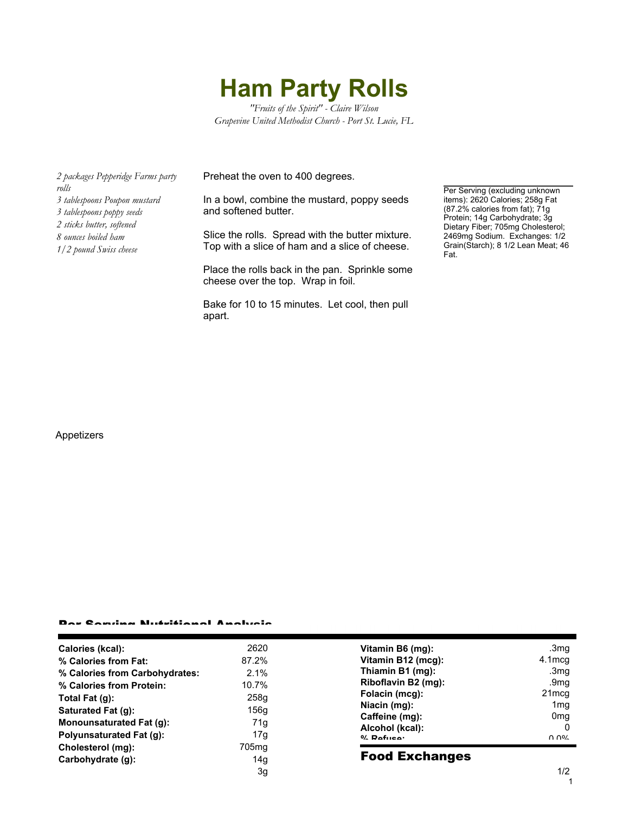# **Ham Party Rolls**

*"Fruits of the Spirit" - Claire Wilson Grapevine United Methodist Church - Port St. Lucie, FL*

*2 packages Pepperidge Farms party rolls 3 tablespoons Poupon mustard 3 tablespoons poppy seeds 2 sticks butter, softened 8 ounces boiled ham 1/2 pound Swiss cheese*

Preheat the oven to 400 degrees.

In a bowl, combine the mustard, poppy seeds and softened butter.

Slice the rolls. Spread with the butter mixture. Top with a slice of ham and a slice of cheese.

Place the rolls back in the pan. Sprinkle some cheese over the top. Wrap in foil.

Bake for 10 to 15 minutes. Let cool, then pull apart.

Per Serving (excluding unknown items): 2620 Calories; 258g Fat (87.2% calories from fat); 71g Protein; 14g Carbohydrate; 3g Dietary Fiber; 705mg Cholesterol; 2469mg Sodium. Exchanges: 1/2 Grain(Starch); 8 1/2 Lean Meat; 46 Fat.

### Appetizers

#### Per Serving Nutritional Analysis

| Calories (kcal):                | 2620              |
|---------------------------------|-------------------|
| % Calories from Fat:            | 87.2%             |
| % Calories from Carbohydrates:  | $2.1\%$           |
| % Calories from Protein:        | 10.7%             |
| Total Fat (g):                  | 258g              |
| Saturated Fat (g):              | 156q              |
| <b>Monounsaturated Fat (g):</b> | 71a               |
| Polyunsaturated Fat (g):        | 17a               |
| Cholesterol (mg):               | 705 <sub>mq</sub> |
| Carbohydrate (g):               | 14a               |
|                                 | Зα                |

| Vitamin B6 (mg):                                  | .3mq                     |
|---------------------------------------------------|--------------------------|
| Vitamin B12 (mcg):                                | $4.1$ mca                |
| Thiamin B1 (mg):                                  | .3 <sub>mg</sub>         |
| Riboflavin B2 (mg):                               | .9 <sub>mq</sub>         |
| Folacin (mcg):                                    | 21mcg                    |
| Niacin (mg):                                      | 1 <sub>mq</sub>          |
| Caffeine (mg):<br>Alcohol (kcal):<br>$0/$ Dofuson | 0 <sub>mq</sub><br>ስ ስዐረ |

## Food Exchanges